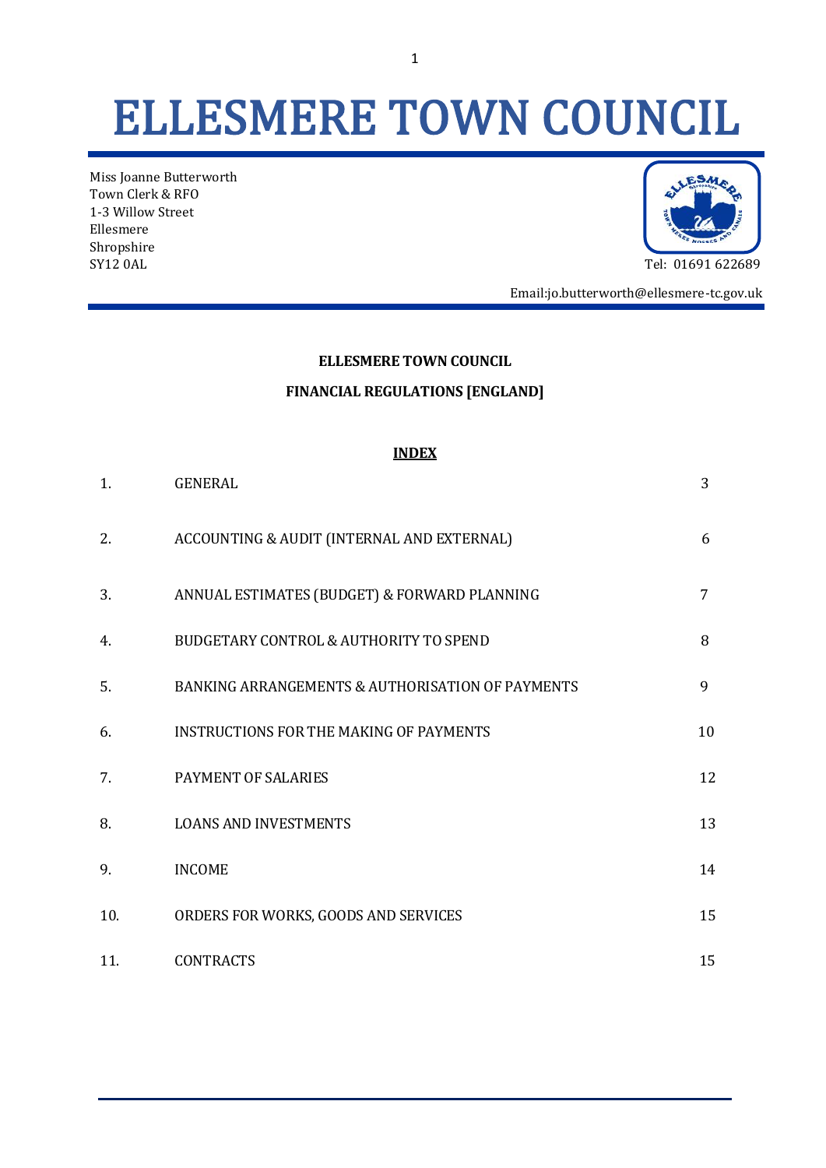# ELLESMERE TOWN COUNCIL

Miss Joanne Butterworth Town Clerk & RFO 1-3 Willow Street Ellesmere Shropshire SY12 0AL Tel: 01691 622689



Email:jo.butterworth@ellesmere-tc.gov.uk

#### **ELLESMERE TOWN COUNCIL**

#### **FINANCIAL REGULATIONS [ENGLAND]**

#### **INDEX**

| 1.  | <b>GENERAL</b>                                   | 3  |
|-----|--------------------------------------------------|----|
| 2.  | ACCOUNTING & AUDIT (INTERNAL AND EXTERNAL)       | 6  |
| 3.  | ANNUAL ESTIMATES (BUDGET) & FORWARD PLANNING     | 7  |
| 4.  | BUDGETARY CONTROL & AUTHORITY TO SPEND           | 8  |
| 5.  | BANKING ARRANGEMENTS & AUTHORISATION OF PAYMENTS | 9  |
| 6.  | <b>INSTRUCTIONS FOR THE MAKING OF PAYMENTS</b>   | 10 |
| 7.  | PAYMENT OF SALARIES                              | 12 |
| 8.  | <b>LOANS AND INVESTMENTS</b>                     | 13 |
| 9.  | <b>INCOME</b>                                    | 14 |
| 10. | ORDERS FOR WORKS, GOODS AND SERVICES             | 15 |
| 11. | <b>CONTRACTS</b>                                 | 15 |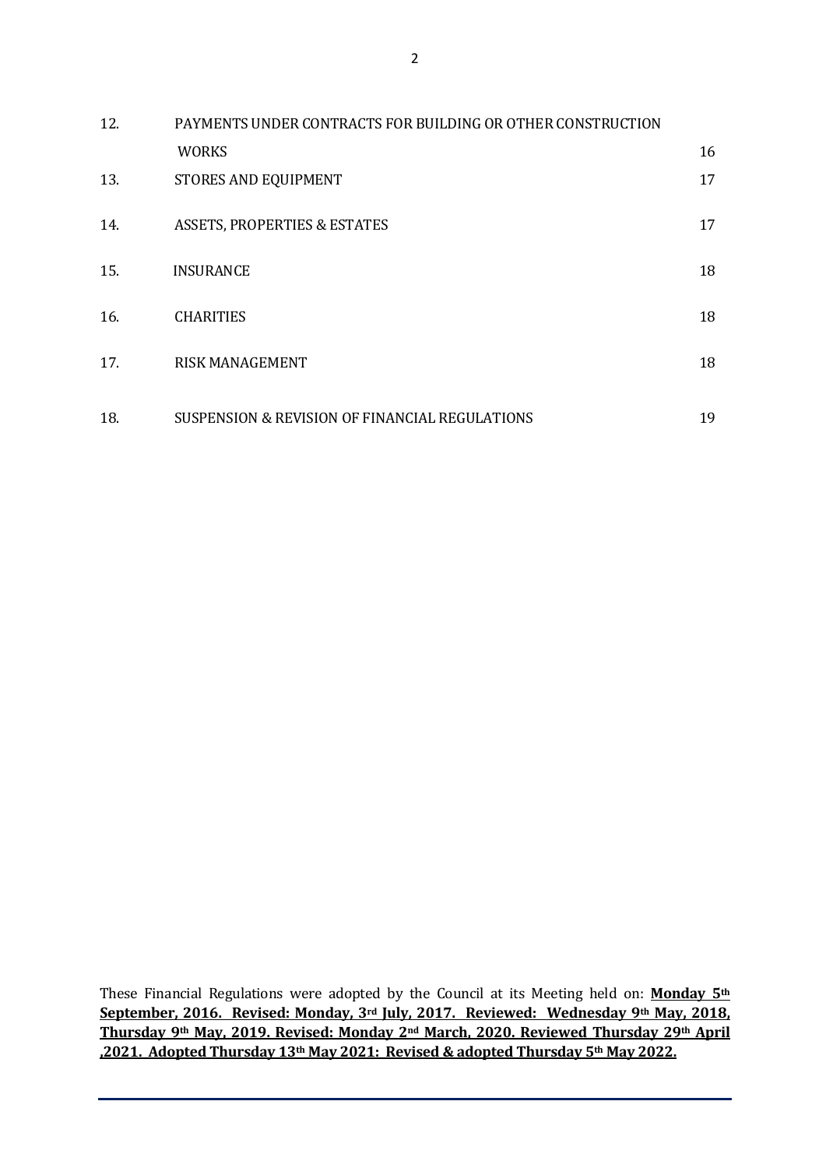| 12. | PAYMENTS UNDER CONTRACTS FOR BUILDING OR OTHER CONSTRUCTION |    |
|-----|-------------------------------------------------------------|----|
|     | <b>WORKS</b>                                                | 16 |
| 13. | STORES AND EQUIPMENT                                        | 17 |
| 14. | <b>ASSETS, PROPERTIES &amp; ESTATES</b>                     | 17 |
| 15. | <b>INSURANCE</b>                                            | 18 |
| 16. | <b>CHARITIES</b>                                            | 18 |
| 17. | <b>RISK MANAGEMENT</b>                                      | 18 |
| 18. | SUSPENSION & REVISION OF FINANCIAL REGULATIONS              | 19 |

These Financial Regulations were adopted by the Council at its Meeting held on: **Monday 5th September, 2016. Revised: Monday, 3rd July, 2017. Reviewed: Wednesday 9th May, 2018, Thursday 9th May, 2019. Revised: Monday 2nd March, 2020. Reviewed Thursday 29th April ,2021. Adopted Thursday 13th May 2021: Revised & adopted Thursday 5th May 2022.**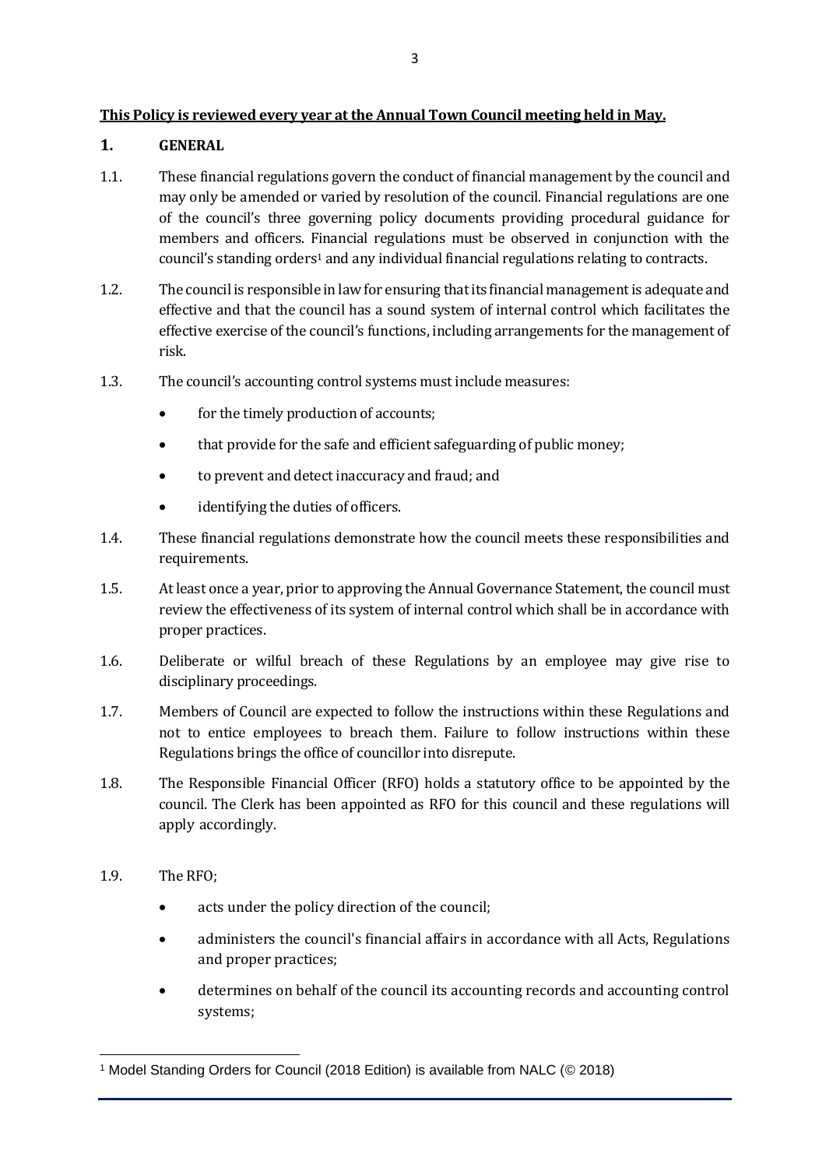# **This Policy is reviewed every year at the Annual Town Council meeting held in May.**

# **1. GENERAL**

- 1.1. These financial regulations govern the conduct of financial management by the council and may only be amended or varied by resolution of the council. Financial regulations are one of the council's three governing policy documents providing procedural guidance for members and officers. Financial regulations must be observed in conjunction with the council's standing orders<sup>1</sup> and any individual financial regulations relating to contracts.
- 1.2. The council is responsible in law for ensuring that its financial management is adequate and effective and that the council has a sound system of internal control which facilitates the effective exercise of the council's functions, including arrangements for the management of risk.
- 1.3. The council's accounting control systems must include measures:
	- for the timely production of accounts;
	- that provide for the safe and efficient safeguarding of public money;
	- to prevent and detect inaccuracy and fraud; and
	- identifying the duties of officers.
- 1.4. These financial regulations demonstrate how the council meets these responsibilities and requirements.
- 1.5. At least once a year, prior to approving the Annual Governance Statement, the council must review the effectiveness of its system of internal control which shall be in accordance with proper practices.
- 1.6. Deliberate or wilful breach of these Regulations by an employee may give rise to disciplinary proceedings.
- 1.7. Members of Council are expected to follow the instructions within these Regulations and not to entice employees to breach them. Failure to follow instructions within these Regulations brings the office of councillor into disrepute.
- 1.8. The Responsible Financial Officer (RFO) holds a statutory office to be appointed by the council. The Clerk has been appointed as RFO for this council and these regulations will apply accordingly.
- 1.9. The RFO;
	- acts under the policy direction of the council;
	- administers the council's financial affairs in accordance with all Acts, Regulations and proper practices;
	- determines on behalf of the council its accounting records and accounting control systems;

<sup>1</sup> Model Standing Orders for Council (2018 Edition) is available from NALC (© 2018)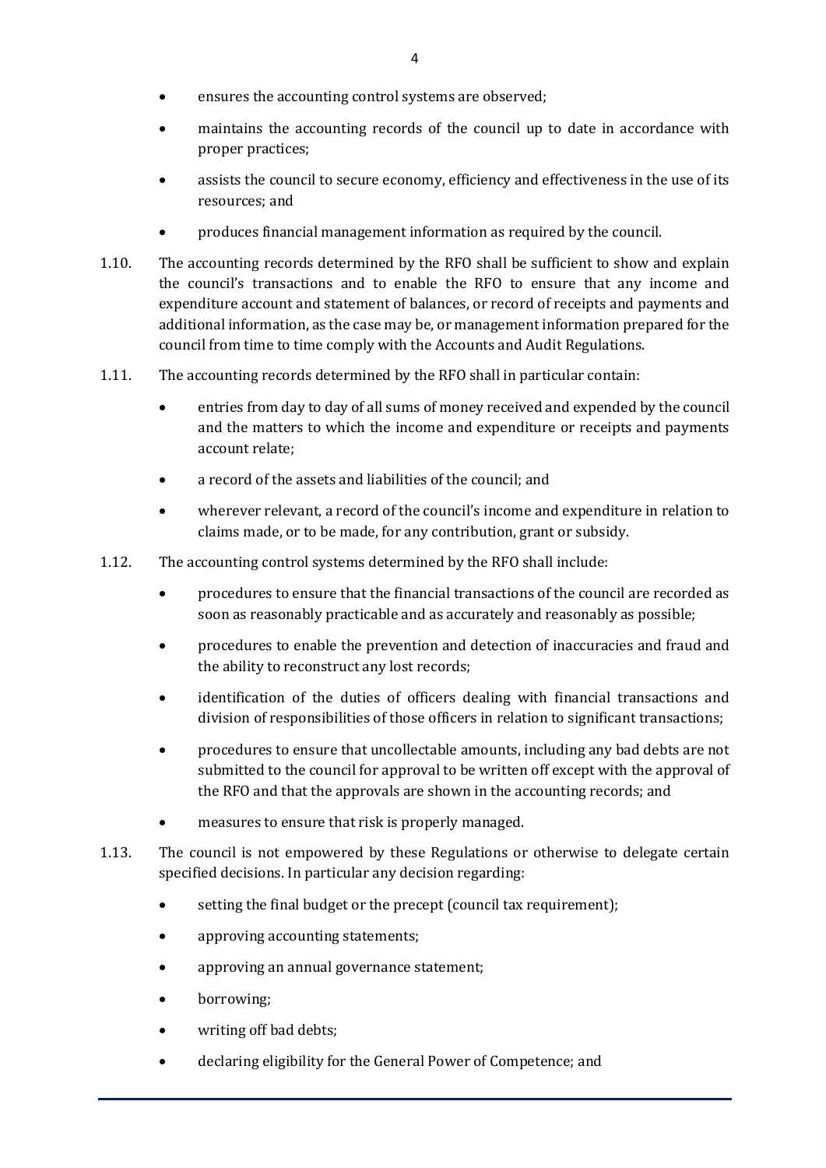- ensures the accounting control systems are observed;
- maintains the accounting records of the council up to date in accordance with proper practices;
- assists the council to secure economy, efficiency and effectiveness in the use of its resources; and
- produces financial management information as required by the council.
- 1.10. The accounting records determined by the RFO shall be sufficient to show and explain the council's transactions and to enable the RFO to ensure that any income and expenditure account and statement of balances, or record of receipts and payments and additional information, as the case may be, or management information prepared for the council from time to time comply with the Accounts and Audit Regulations.
- 1.11. The accounting records determined by the RFO shall in particular contain:
	- entries from day to day of all sums of money received and expended by the council and the matters to which the income and expenditure or receipts and payments account relate;
	- a record of the assets and liabilities of the council; and
	- wherever relevant, a record of the council's income and expenditure in relation to claims made, or to be made, for any contribution, grant or subsidy.
- 1.12. The accounting control systems determined by the RFO shall include:
	- procedures to ensure that the financial transactions of the council are recorded as soon as reasonably practicable and as accurately and reasonably as possible;
	- procedures to enable the prevention and detection of inaccuracies and fraud and the ability to reconstruct any lost records;
	- identification of the duties of officers dealing with financial transactions and division of responsibilities of those officers in relation to significant transactions;
	- procedures to ensure that uncollectable amounts, including any bad debts are not submitted to the council for approval to be written off except with the approval of the RFO and that the approvals are shown in the accounting records; and
	- measures to ensure that risk is properly managed.
- 1.13. The council is not empowered by these Regulations or otherwise to delegate certain specified decisions. In particular any decision regarding:
	- setting the final budget or the precept (council tax requirement);
	- approving accounting statements;
	- approving an annual governance statement;
	- borrowing;
	- writing off bad debts;
	- declaring eligibility for the General Power of Competence; and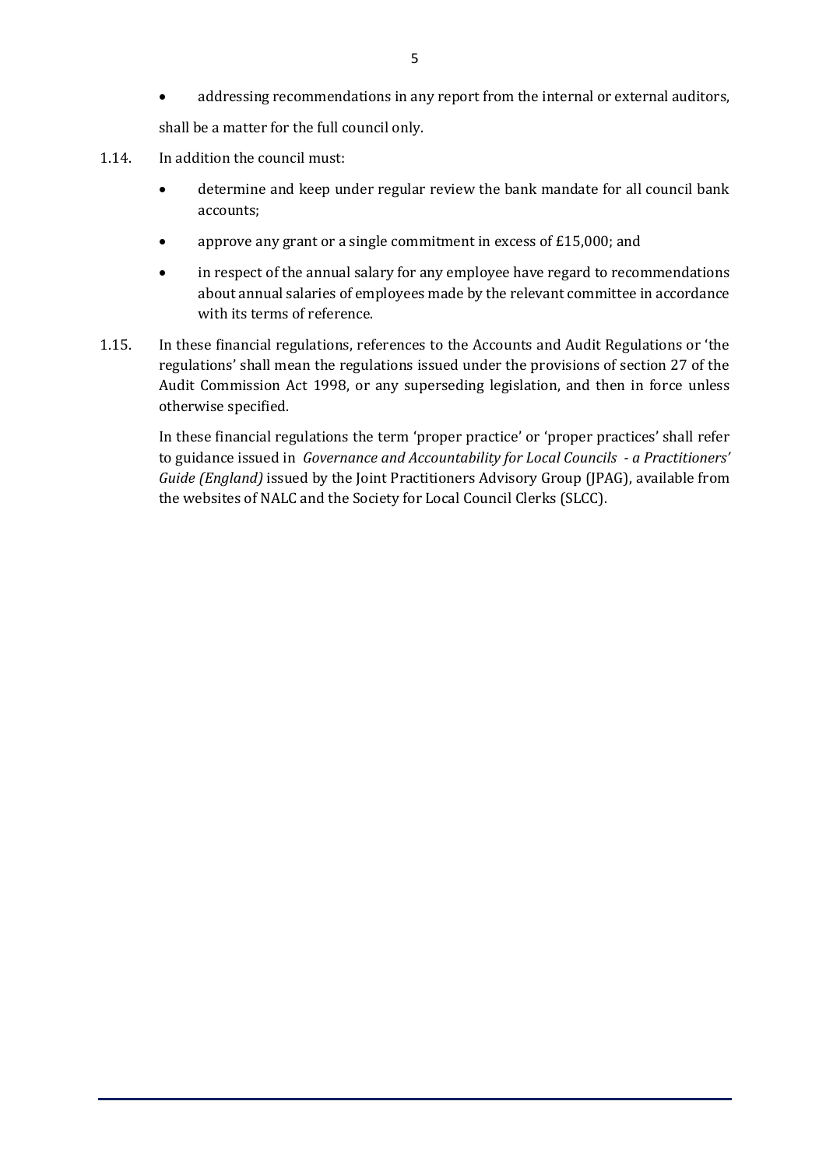- addressing recommendations in any report from the internal or external auditors, shall be a matter for the full council only.
- 1.14. In addition the council must:
	- determine and keep under regular review the bank mandate for all council bank accounts;
	- approve any grant or a single commitment in excess of £15,000; and
	- in respect of the annual salary for any employee have regard to recommendations about annual salaries of employees made by the relevant committee in accordance with its terms of reference.
- 1.15. In these financial regulations, references to the Accounts and Audit Regulations or 'the regulations' shall mean the regulations issued under the provisions of section 27 of the Audit Commission Act 1998, or any superseding legislation, and then in force unless otherwise specified.

In these financial regulations the term 'proper practice' or 'proper practices' shall refer to guidance issued in *Governance and Accountability for Local Councils - a Practitioners' Guide (England)* issued by the Joint Practitioners Advisory Group (JPAG), available from the websites of NALC and the Society for Local Council Clerks (SLCC).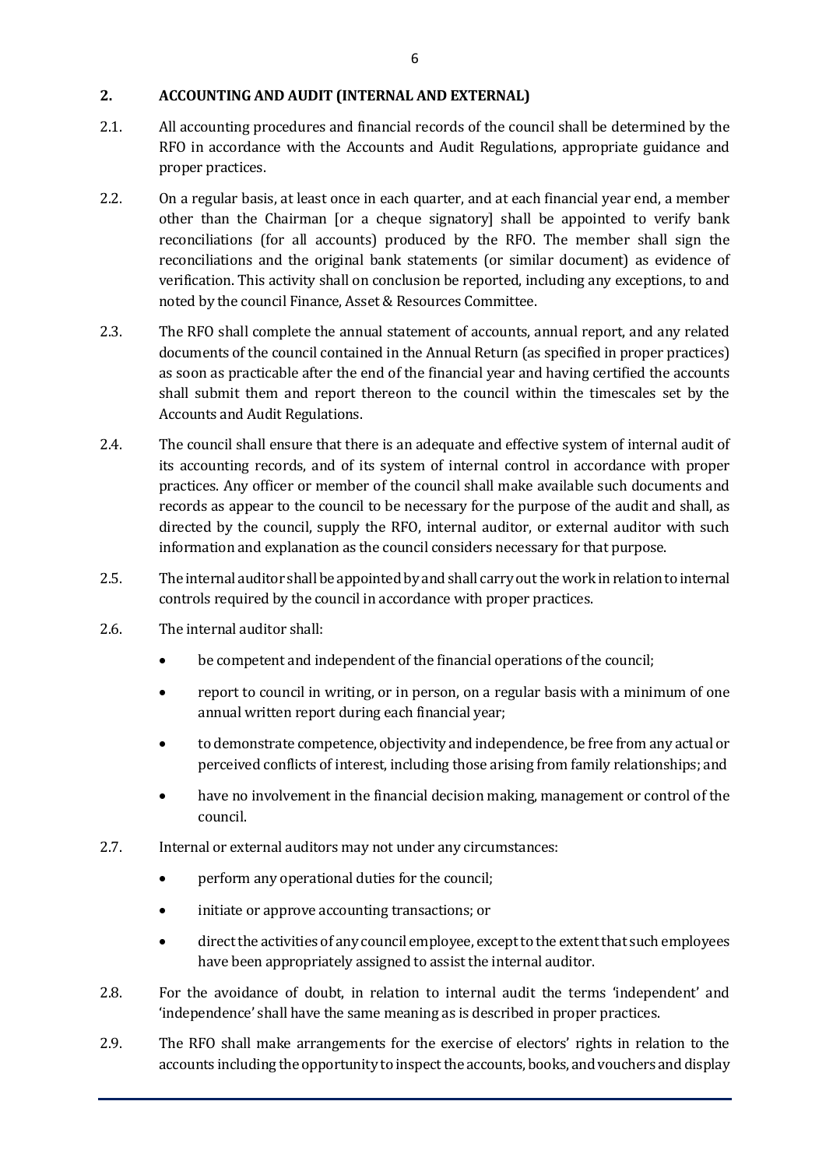### **2. ACCOUNTING AND AUDIT (INTERNAL AND EXTERNAL)**

- 2.1. All accounting procedures and financial records of the council shall be determined by the RFO in accordance with the Accounts and Audit Regulations, appropriate guidance and proper practices.
- 2.2. On a regular basis, at least once in each quarter, and at each financial year end, a member other than the Chairman [or a cheque signatory] shall be appointed to verify bank reconciliations (for all accounts) produced by the RFO. The member shall sign the reconciliations and the original bank statements (or similar document) as evidence of verification. This activity shall on conclusion be reported, including any exceptions, to and noted by the council Finance, Asset & Resources Committee.
- 2.3. The RFO shall complete the annual statement of accounts, annual report, and any related documents of the council contained in the Annual Return (as specified in proper practices) as soon as practicable after the end of the financial year and having certified the accounts shall submit them and report thereon to the council within the timescales set by the Accounts and Audit Regulations.
- 2.4. The council shall ensure that there is an adequate and effective system of internal audit of its accounting records, and of its system of internal control in accordance with proper practices. Any officer or member of the council shall make available such documents and records as appear to the council to be necessary for the purpose of the audit and shall, as directed by the council, supply the RFO, internal auditor, or external auditor with such information and explanation as the council considers necessary for that purpose.
- 2.5. The internal auditor shall be appointed by and shall carry out the work in relation to internal controls required by the council in accordance with proper practices.
- 2.6. The internal auditor shall:
	- be competent and independent of the financial operations of the council;
	- report to council in writing, or in person, on a regular basis with a minimum of one annual written report during each financial year;
	- to demonstrate competence, objectivity and independence, be free from any actual or perceived conflicts of interest, including those arising from family relationships; and
	- have no involvement in the financial decision making, management or control of the council.
- 2.7. Internal or external auditors may not under any circumstances:
	- perform any operational duties for the council;
	- initiate or approve accounting transactions; or
	- direct the activities of any council employee, except to the extent that such employees have been appropriately assigned to assist the internal auditor.
- 2.8. For the avoidance of doubt, in relation to internal audit the terms 'independent' and 'independence' shall have the same meaning as is described in proper practices.
- 2.9. The RFO shall make arrangements for the exercise of electors' rights in relation to the accounts including the opportunity to inspect the accounts, books, and vouchers and display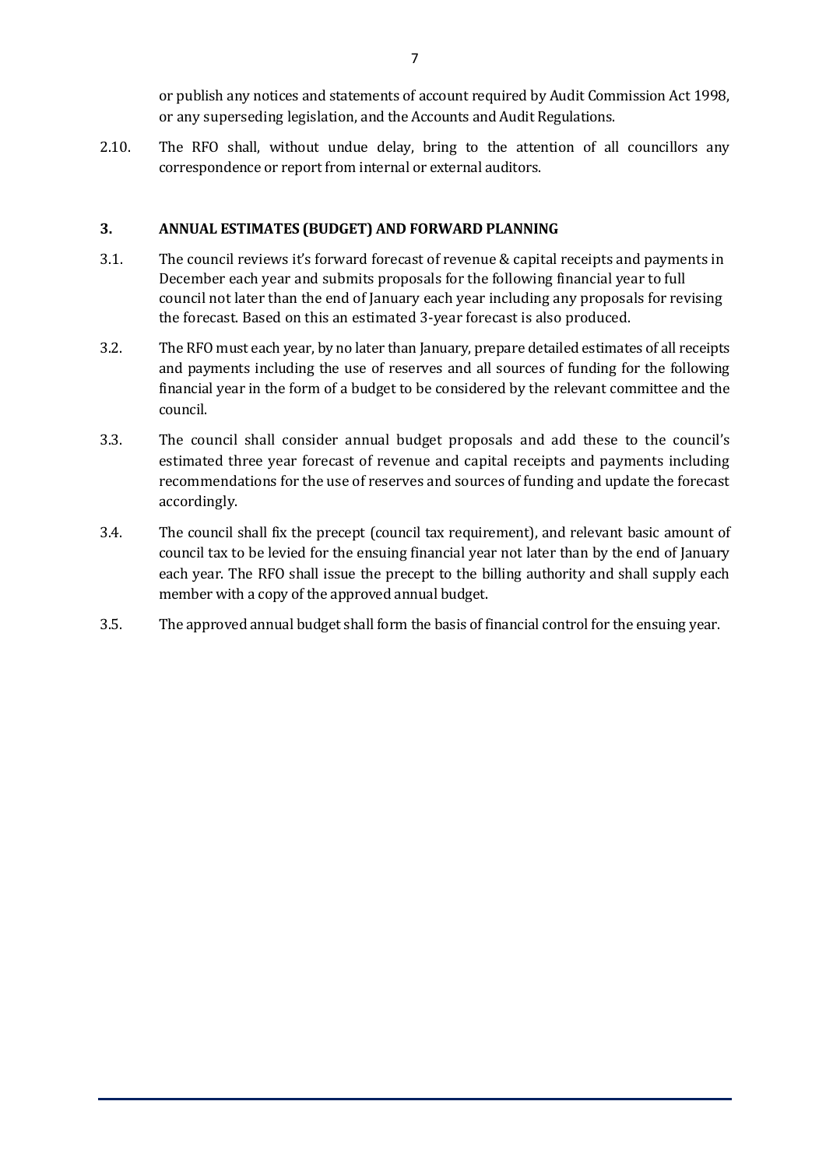or publish any notices and statements of account required by Audit Commission Act 1998, or any superseding legislation, and the Accounts and Audit Regulations.

2.10. The RFO shall, without undue delay, bring to the attention of all councillors any correspondence or report from internal or external auditors.

#### **3. ANNUAL ESTIMATES (BUDGET) AND FORWARD PLANNING**

- 3.1. The council reviews it's forward forecast of revenue & capital receipts and payments in December each year and submits proposals for the following financial year to full council not later than the end of January each year including any proposals for revising the forecast. Based on this an estimated 3-year forecast is also produced.
- 3.2. The RFO must each year, by no later than January, prepare detailed estimates of all receipts and payments including the use of reserves and all sources of funding for the following financial year in the form of a budget to be considered by the relevant committee and the council.
- 3.3. The council shall consider annual budget proposals and add these to the council's estimated three year forecast of revenue and capital receipts and payments including recommendations for the use of reserves and sources of funding and update the forecast accordingly.
- 3.4. The council shall fix the precept (council tax requirement), and relevant basic amount of council tax to be levied for the ensuing financial year not later than by the end of January each year. The RFO shall issue the precept to the billing authority and shall supply each member with a copy of the approved annual budget.
- 3.5. The approved annual budget shall form the basis of financial control for the ensuing year.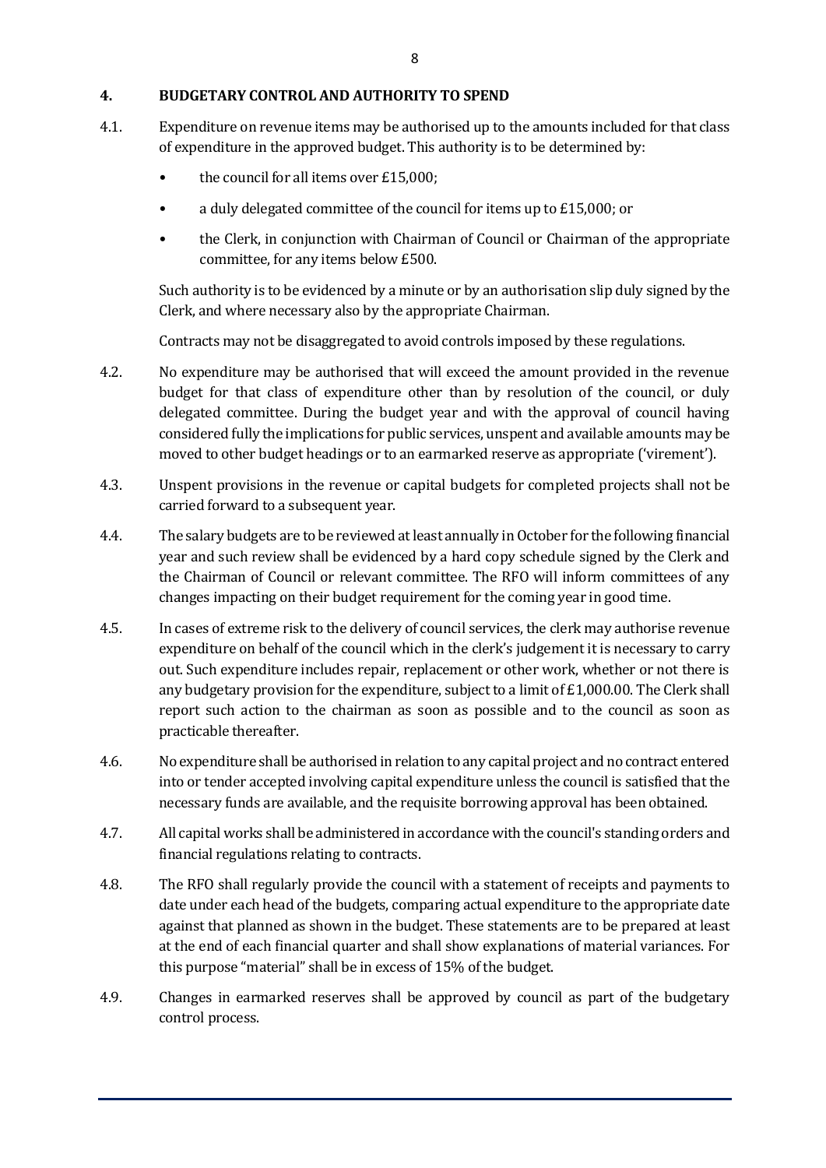### **4. BUDGETARY CONTROL AND AUTHORITY TO SPEND**

- 4.1. Expenditure on revenue items may be authorised up to the amounts included for that class of expenditure in the approved budget. This authority is to be determined by:
	- the council for all items over £15,000;
	- a duly delegated committee of the council for items up to £15,000; or
	- the Clerk, in conjunction with Chairman of Council or Chairman of the appropriate committee, for any items below £500.

Such authority is to be evidenced by a minute or by an authorisation slip duly signed by the Clerk, and where necessary also by the appropriate Chairman.

Contracts may not be disaggregated to avoid controls imposed by these regulations.

- 4.2. No expenditure may be authorised that will exceed the amount provided in the revenue budget for that class of expenditure other than by resolution of the council, or duly delegated committee. During the budget year and with the approval of council having considered fully the implications for public services, unspent and available amounts may be moved to other budget headings or to an earmarked reserve as appropriate ('virement').
- 4.3. Unspent provisions in the revenue or capital budgets for completed projects shall not be carried forward to a subsequent year.
- 4.4. The salary budgets are to be reviewed at least annually in October for the following financial year and such review shall be evidenced by a hard copy schedule signed by the Clerk and the Chairman of Council or relevant committee. The RFO will inform committees of any changes impacting on their budget requirement for the coming year in good time.
- 4.5. In cases of extreme risk to the delivery of council services, the clerk may authorise revenue expenditure on behalf of the council which in the clerk's judgement it is necessary to carry out. Such expenditure includes repair, replacement or other work, whether or not there is any budgetary provision for the expenditure, subject to a limit of £1,000.00. The Clerk shall report such action to the chairman as soon as possible and to the council as soon as practicable thereafter.
- 4.6. No expenditure shall be authorised in relation to any capital project and no contract entered into or tender accepted involving capital expenditure unless the council is satisfied that the necessary funds are available, and the requisite borrowing approval has been obtained.
- 4.7. All capital works shall be administered in accordance with the council's standing orders and financial regulations relating to contracts.
- 4.8. The RFO shall regularly provide the council with a statement of receipts and payments to date under each head of the budgets, comparing actual expenditure to the appropriate date against that planned as shown in the budget. These statements are to be prepared at least at the end of each financial quarter and shall show explanations of material variances. For this purpose "material" shall be in excess of 15% of the budget.
- 4.9. Changes in earmarked reserves shall be approved by council as part of the budgetary control process.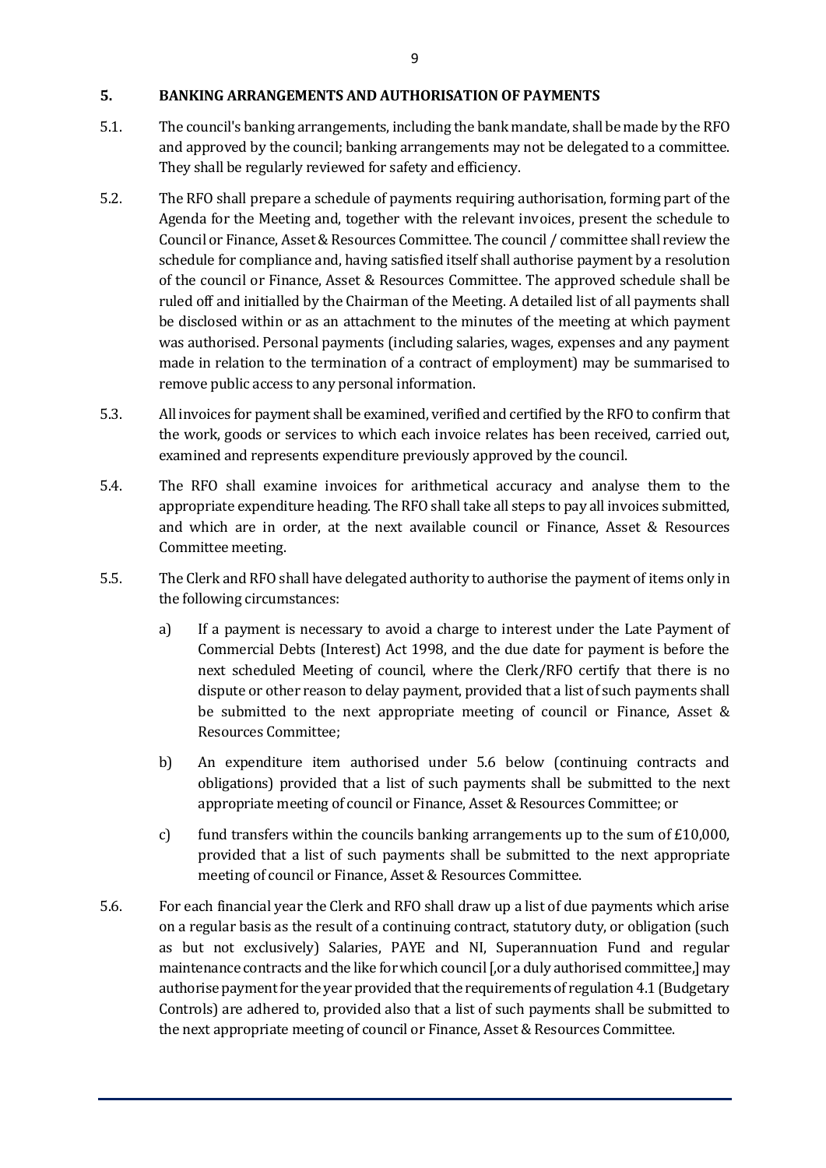#### **5. BANKING ARRANGEMENTS AND AUTHORISATION OF PAYMENTS**

- 5.1. The council's banking arrangements, including the bank mandate, shall be made by the RFO and approved by the council; banking arrangements may not be delegated to a committee. They shall be regularly reviewed for safety and efficiency.
- 5.2. The RFO shall prepare a schedule of payments requiring authorisation, forming part of the Agenda for the Meeting and, together with the relevant invoices, present the schedule to Council or Finance, Asset & Resources Committee. The council / committee shall review the schedule for compliance and, having satisfied itself shall authorise payment by a resolution of the council or Finance, Asset & Resources Committee. The approved schedule shall be ruled off and initialled by the Chairman of the Meeting. A detailed list of all payments shall be disclosed within or as an attachment to the minutes of the meeting at which payment was authorised. Personal payments (including salaries, wages, expenses and any payment made in relation to the termination of a contract of employment) may be summarised to remove public access to any personal information.
- 5.3. All invoices for payment shall be examined, verified and certified by the RFO to confirm that the work, goods or services to which each invoice relates has been received, carried out, examined and represents expenditure previously approved by the council.
- 5.4. The RFO shall examine invoices for arithmetical accuracy and analyse them to the appropriate expenditure heading. The RFO shall take all steps to pay all invoices submitted, and which are in order, at the next available council or Finance, Asset & Resources Committee meeting.
- 5.5. The Clerk and RFO shall have delegated authority to authorise the payment of items only in the following circumstances:
	- a) If a payment is necessary to avoid a charge to interest under the Late Payment of Commercial Debts (Interest) Act 1998, and the due date for payment is before the next scheduled Meeting of council, where the Clerk/RFO certify that there is no dispute or other reason to delay payment, provided that a list of such payments shall be submitted to the next appropriate meeting of council or Finance, Asset & Resources Committee;
	- b) An expenditure item authorised under 5.6 below (continuing contracts and obligations) provided that a list of such payments shall be submitted to the next appropriate meeting of council or Finance, Asset & Resources Committee; or
	- c) fund transfers within the councils banking arrangements up to the sum of  $£10,000$ , provided that a list of such payments shall be submitted to the next appropriate meeting of council or Finance, Asset & Resources Committee.
- 5.6. For each financial year the Clerk and RFO shall draw up a list of due payments which arise on a regular basis as the result of a continuing contract, statutory duty, or obligation (such as but not exclusively) Salaries, PAYE and NI, Superannuation Fund and regular maintenance contracts and the like for which council [,or a duly authorised committee,] may authorise payment for the year provided that the requirements of regulation 4.1 (Budgetary Controls) are adhered to, provided also that a list of such payments shall be submitted to the next appropriate meeting of council or Finance, Asset & Resources Committee.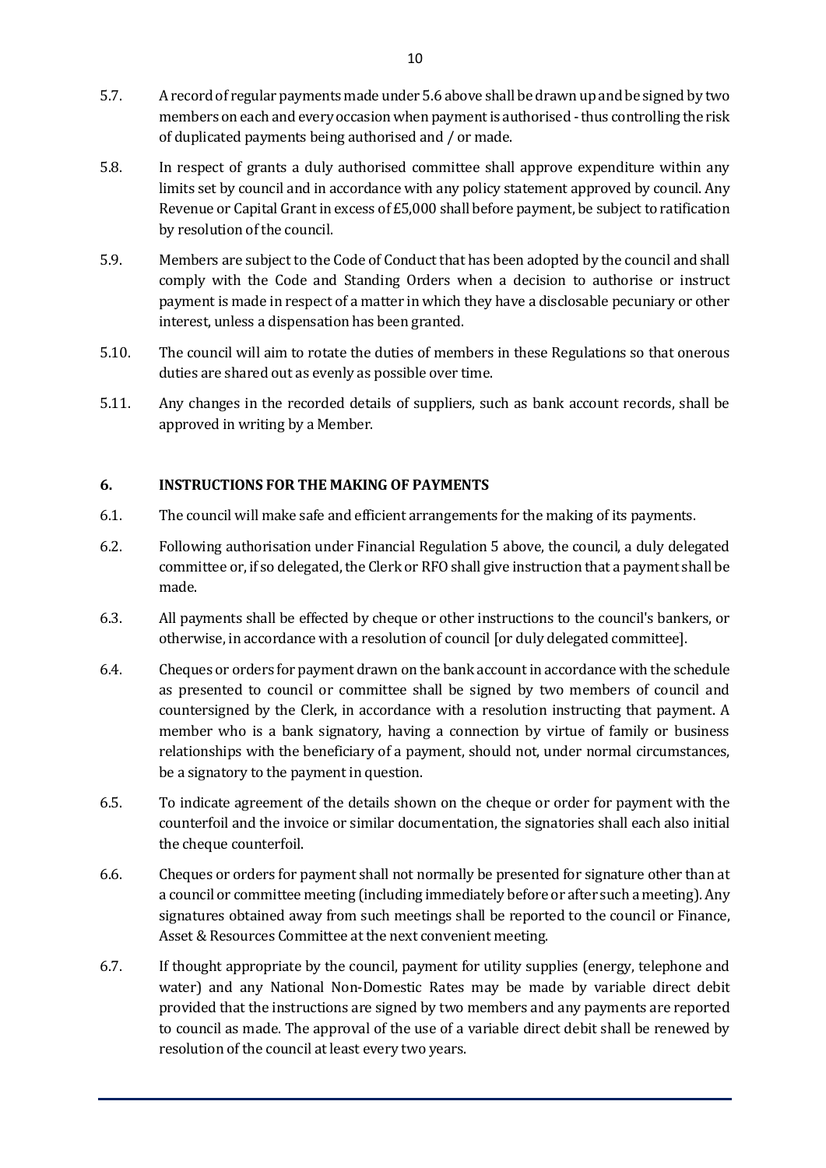- 5.7. A record of regular payments made under 5.6 above shall be drawn up and be signed by two members on each and every occasion when payment is authorised -thus controlling the risk of duplicated payments being authorised and / or made.
- 5.8. In respect of grants a duly authorised committee shall approve expenditure within any limits set by council and in accordance with any policy statement approved by council. Any Revenue or Capital Grant in excess of £5,000 shall before payment, be subject to ratification by resolution of the council.
- 5.9. Members are subject to the Code of Conduct that has been adopted by the council and shall comply with the Code and Standing Orders when a decision to authorise or instruct payment is made in respect of a matter in which they have a disclosable pecuniary or other interest, unless a dispensation has been granted.
- 5.10. The council will aim to rotate the duties of members in these Regulations so that onerous duties are shared out as evenly as possible over time.
- 5.11. Any changes in the recorded details of suppliers, such as bank account records, shall be approved in writing by a Member.

#### **6. INSTRUCTIONS FOR THE MAKING OF PAYMENTS**

- 6.1. The council will make safe and efficient arrangements for the making of its payments.
- 6.2. Following authorisation under Financial Regulation 5 above, the council, a duly delegated committee or, if so delegated, the Clerk or RFO shall give instruction that a payment shall be made.
- 6.3. All payments shall be effected by cheque or other instructions to the council's bankers, or otherwise, in accordance with a resolution of council [or duly delegated committee].
- 6.4. Cheques or orders for payment drawn on the bank account in accordance with the schedule as presented to council or committee shall be signed by two members of council and countersigned by the Clerk, in accordance with a resolution instructing that payment. A member who is a bank signatory, having a connection by virtue of family or business relationships with the beneficiary of a payment, should not, under normal circumstances, be a signatory to the payment in question.
- 6.5. To indicate agreement of the details shown on the cheque or order for payment with the counterfoil and the invoice or similar documentation, the signatories shall each also initial the cheque counterfoil.
- 6.6. Cheques or orders for payment shall not normally be presented for signature other than at a council or committee meeting (including immediately before or after such a meeting). Any signatures obtained away from such meetings shall be reported to the council or Finance, Asset & Resources Committee at the next convenient meeting.
- 6.7. If thought appropriate by the council, payment for utility supplies (energy, telephone and water) and any National Non-Domestic Rates may be made by variable direct debit provided that the instructions are signed by two members and any payments are reported to council as made. The approval of the use of a variable direct debit shall be renewed by resolution of the council at least every two years.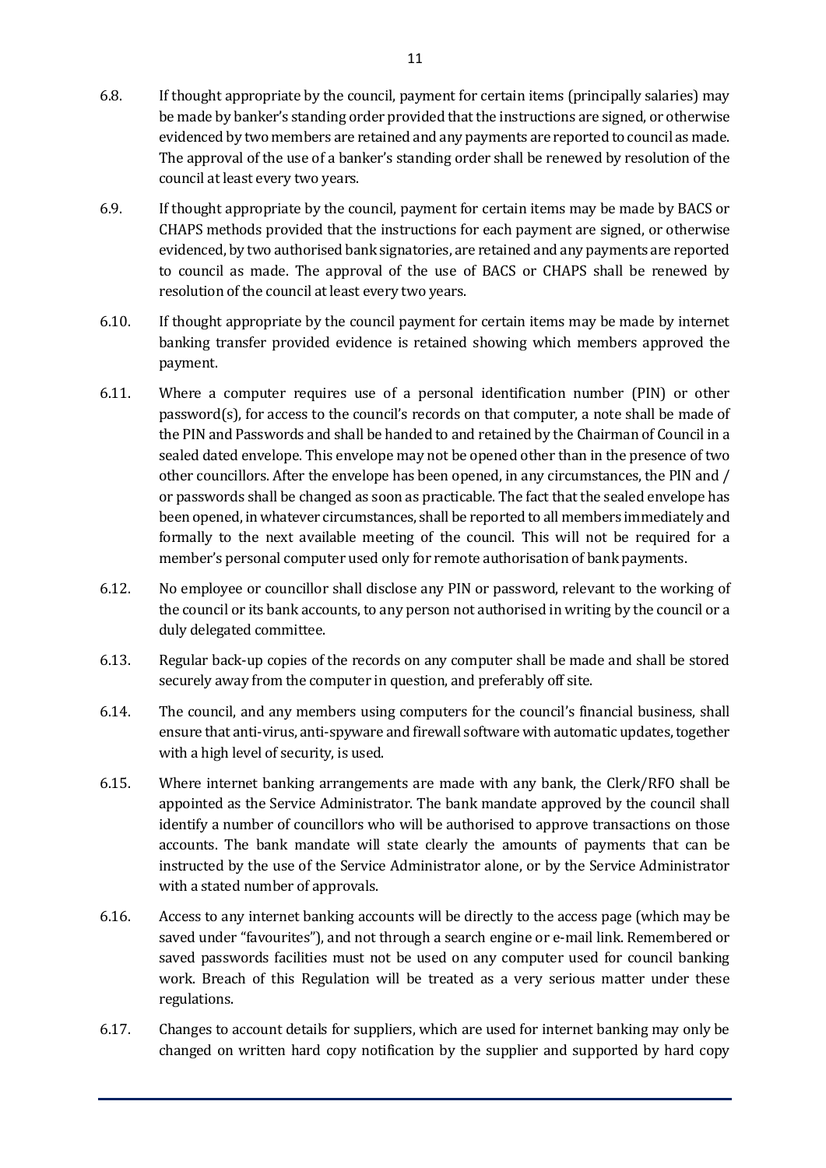- 6.8. If thought appropriate by the council, payment for certain items (principally salaries) may be made by banker's standing order provided that the instructions are signed, or otherwise evidenced by two members are retained and any payments are reported to council as made. The approval of the use of a banker's standing order shall be renewed by resolution of the council at least every two years.
- 6.9. If thought appropriate by the council, payment for certain items may be made by BACS or CHAPS methods provided that the instructions for each payment are signed, or otherwise evidenced, by two authorised bank signatories, are retained and any payments are reported to council as made. The approval of the use of BACS or CHAPS shall be renewed by resolution of the council at least every two years.
- 6.10. If thought appropriate by the council payment for certain items may be made by internet banking transfer provided evidence is retained showing which members approved the payment.
- 6.11. Where a computer requires use of a personal identification number (PIN) or other password(s), for access to the council's records on that computer, a note shall be made of the PIN and Passwords and shall be handed to and retained by the Chairman of Council in a sealed dated envelope. This envelope may not be opened other than in the presence of two other councillors. After the envelope has been opened, in any circumstances, the PIN and / or passwords shall be changed as soon as practicable. The fact that the sealed envelope has been opened, in whatever circumstances, shall be reported to all members immediately and formally to the next available meeting of the council. This will not be required for a member's personal computer used only for remote authorisation of bank payments.
- 6.12. No employee or councillor shall disclose any PIN or password, relevant to the working of the council or its bank accounts, to any person not authorised in writing by the council or a duly delegated committee.
- 6.13. Regular back-up copies of the records on any computer shall be made and shall be stored securely away from the computer in question, and preferably off site.
- 6.14. The council, and any members using computers for the council's financial business, shall ensure that anti-virus, anti-spyware and firewall software with automatic updates, together with a high level of security, is used.
- 6.15. Where internet banking arrangements are made with any bank, the Clerk/RFO shall be appointed as the Service Administrator. The bank mandate approved by the council shall identify a number of councillors who will be authorised to approve transactions on those accounts. The bank mandate will state clearly the amounts of payments that can be instructed by the use of the Service Administrator alone, or by the Service Administrator with a stated number of approvals.
- 6.16. Access to any internet banking accounts will be directly to the access page (which may be saved under "favourites"), and not through a search engine or e-mail link. Remembered or saved passwords facilities must not be used on any computer used for council banking work. Breach of this Regulation will be treated as a very serious matter under these regulations.
- 6.17. Changes to account details for suppliers, which are used for internet banking may only be changed on written hard copy notification by the supplier and supported by hard copy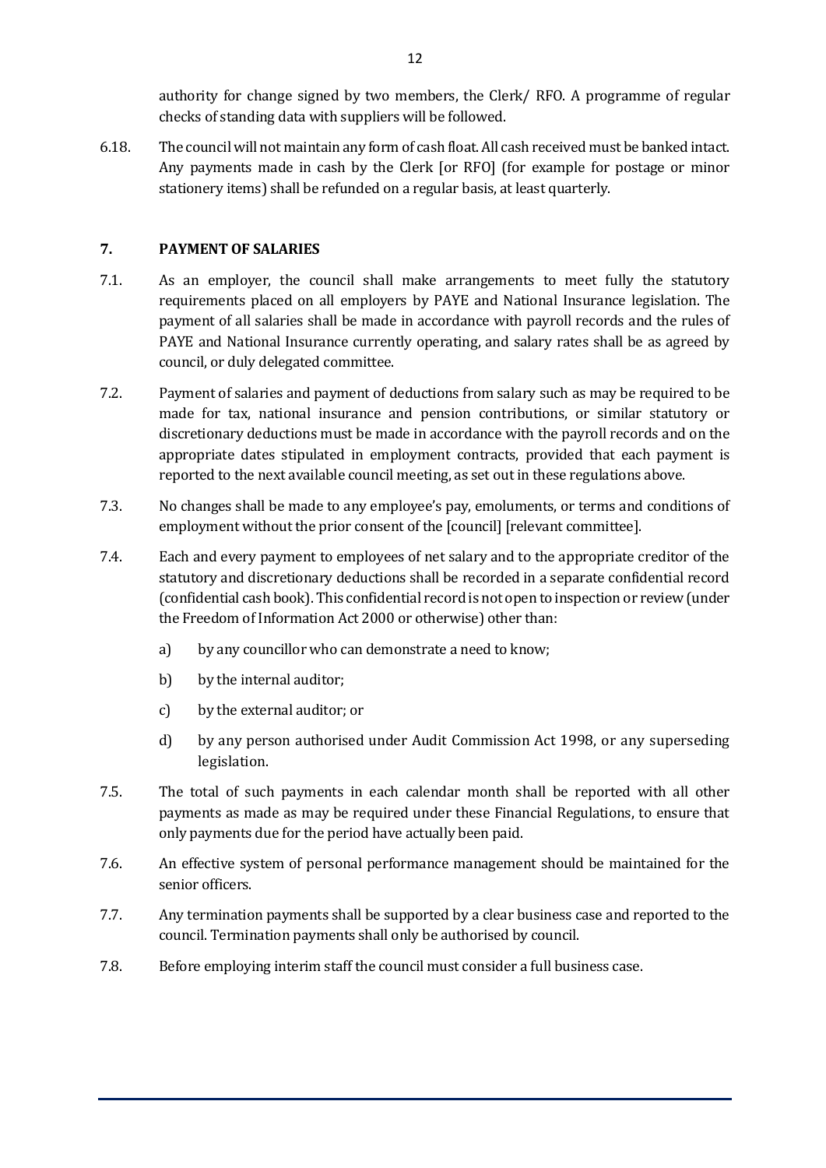authority for change signed by two members, the Clerk/ RFO. A programme of regular checks of standing data with suppliers will be followed.

6.18. The council will not maintain any form of cash float. All cash received must be banked intact. Any payments made in cash by the Clerk [or RFO] (for example for postage or minor stationery items) shall be refunded on a regular basis, at least quarterly.

### **7. PAYMENT OF SALARIES**

- 7.1. As an employer, the council shall make arrangements to meet fully the statutory requirements placed on all employers by PAYE and National Insurance legislation. The payment of all salaries shall be made in accordance with payroll records and the rules of PAYE and National Insurance currently operating, and salary rates shall be as agreed by council, or duly delegated committee.
- 7.2. Payment of salaries and payment of deductions from salary such as may be required to be made for tax, national insurance and pension contributions, or similar statutory or discretionary deductions must be made in accordance with the payroll records and on the appropriate dates stipulated in employment contracts, provided that each payment is reported to the next available council meeting, as set out in these regulations above.
- 7.3. No changes shall be made to any employee's pay, emoluments, or terms and conditions of employment without the prior consent of the [council] [relevant committee].
- 7.4. Each and every payment to employees of net salary and to the appropriate creditor of the statutory and discretionary deductions shall be recorded in a separate confidential record (confidential cash book). This confidential record is not open to inspection or review (under the Freedom of Information Act 2000 or otherwise) other than:
	- a) by any councillor who can demonstrate a need to know;
	- b) by the internal auditor;
	- c) by the external auditor; or
	- d) by any person authorised under Audit Commission Act 1998, or any superseding legislation.
- 7.5. The total of such payments in each calendar month shall be reported with all other payments as made as may be required under these Financial Regulations, to ensure that only payments due for the period have actually been paid.
- 7.6. An effective system of personal performance management should be maintained for the senior officers.
- 7.7. Any termination payments shall be supported by a clear business case and reported to the council. Termination payments shall only be authorised by council.
- 7.8. Before employing interim staff the council must consider a full business case.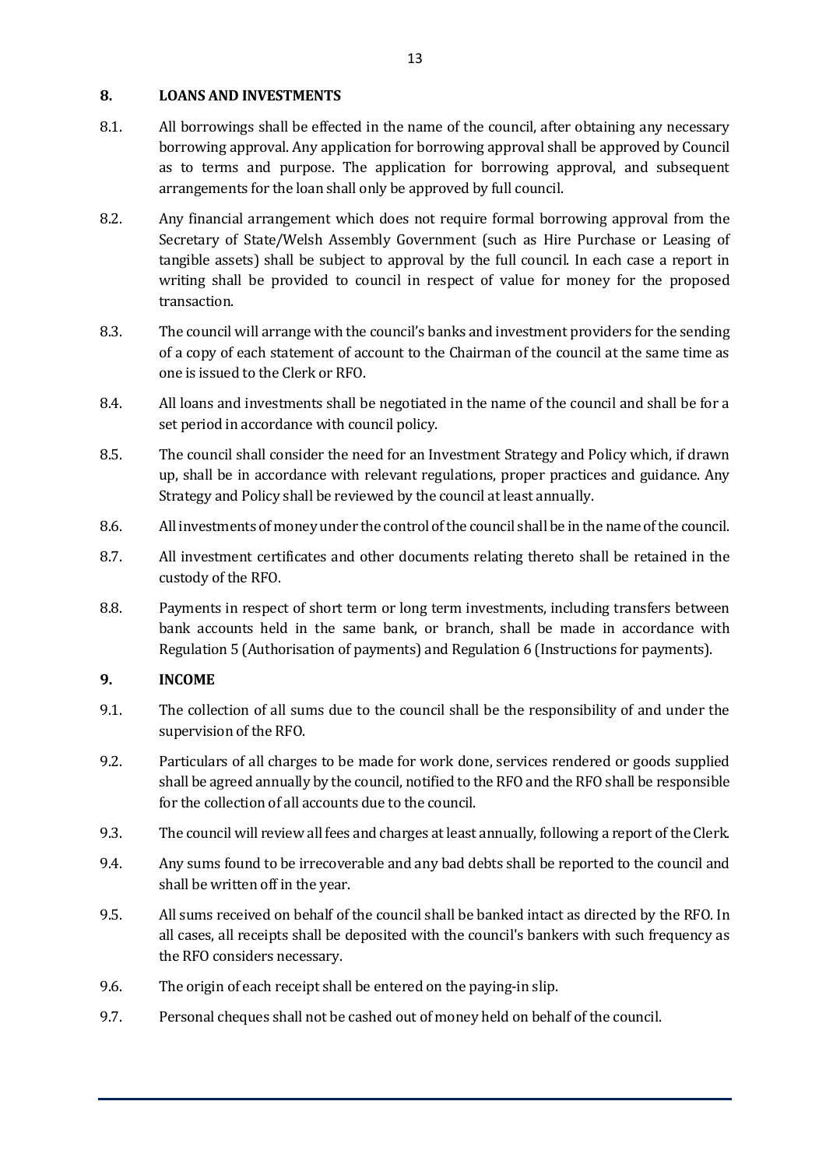### **8. LOANS AND INVESTMENTS**

- 8.1. All borrowings shall be effected in the name of the council, after obtaining any necessary borrowing approval. Any application for borrowing approval shall be approved by Council as to terms and purpose. The application for borrowing approval, and subsequent arrangements for the loan shall only be approved by full council.
- 8.2. Any financial arrangement which does not require formal borrowing approval from the Secretary of State/Welsh Assembly Government (such as Hire Purchase or Leasing of tangible assets) shall be subject to approval by the full council. In each case a report in writing shall be provided to council in respect of value for money for the proposed transaction.
- 8.3. The council will arrange with the council's banks and investment providers for the sending of a copy of each statement of account to the Chairman of the council at the same time as one is issued to the Clerk or RFO.
- 8.4. All loans and investments shall be negotiated in the name of the council and shall be for a set period in accordance with council policy.
- 8.5. The council shall consider the need for an Investment Strategy and Policy which, if drawn up, shall be in accordance with relevant regulations, proper practices and guidance. Any Strategy and Policy shall be reviewed by the council at least annually.
- 8.6. All investments of money under the control of the council shall be in the name of the council.
- 8.7. All investment certificates and other documents relating thereto shall be retained in the custody of the RFO.
- 8.8. Payments in respect of short term or long term investments, including transfers between bank accounts held in the same bank, or branch, shall be made in accordance with Regulation 5 (Authorisation of payments) and Regulation 6 (Instructions for payments).

#### **9. INCOME**

- 9.1. The collection of all sums due to the council shall be the responsibility of and under the supervision of the RFO.
- 9.2. Particulars of all charges to be made for work done, services rendered or goods supplied shall be agreed annually by the council, notified to the RFO and the RFO shall be responsible for the collection of all accounts due to the council.
- 9.3. The council will review all fees and charges at least annually, following a report of the Clerk.
- 9.4. Any sums found to be irrecoverable and any bad debts shall be reported to the council and shall be written off in the year.
- 9.5. All sums received on behalf of the council shall be banked intact as directed by the RFO. In all cases, all receipts shall be deposited with the council's bankers with such frequency as the RFO considers necessary.
- 9.6. The origin of each receipt shall be entered on the paying-in slip.
- 9.7. Personal cheques shall not be cashed out of money held on behalf of the council.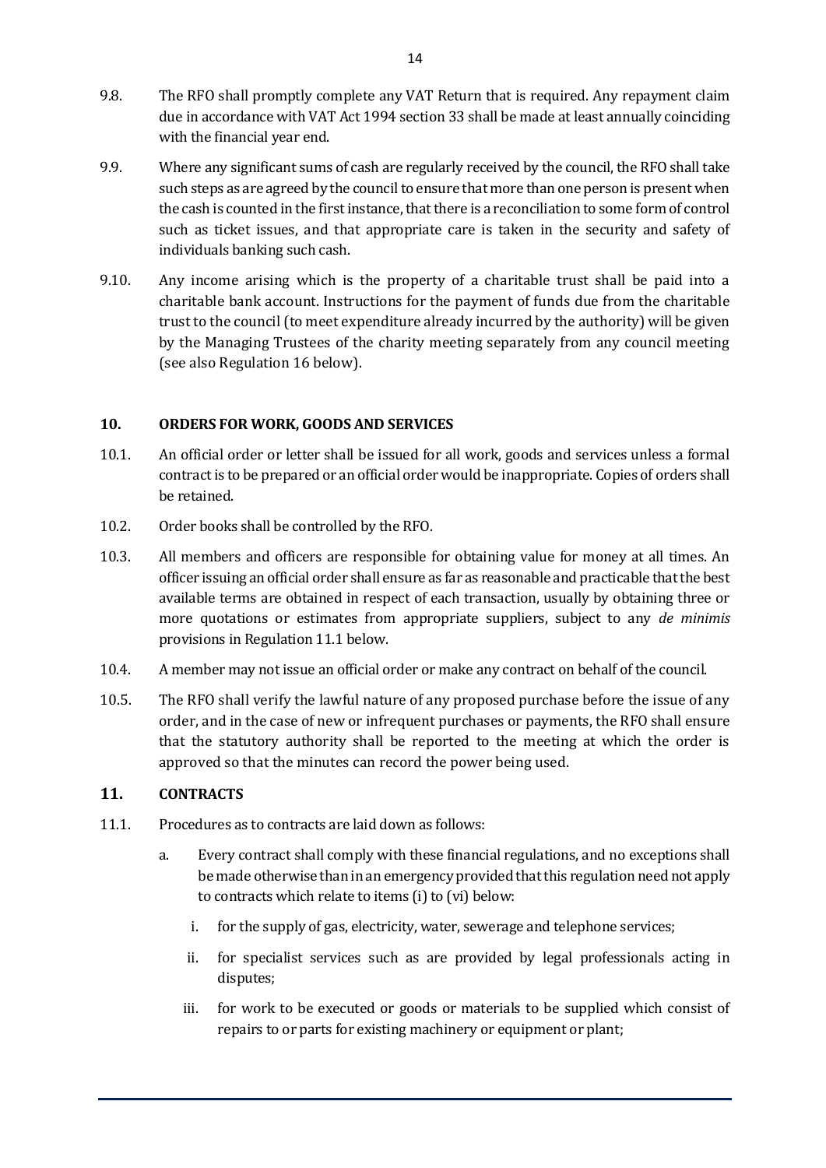- 9.8. The RFO shall promptly complete any VAT Return that is required. Any repayment claim due in accordance with VAT Act 1994 section 33 shall be made at least annually coinciding with the financial year end.
- 9.9. Where any significant sums of cash are regularly received by the council, the RFO shall take such steps as are agreed by the council to ensure that more than one person is present when the cash is counted in the first instance, that there is a reconciliation to some form of control such as ticket issues, and that appropriate care is taken in the security and safety of individuals banking such cash.
- 9.10. Any income arising which is the property of a charitable trust shall be paid into a charitable bank account. Instructions for the payment of funds due from the charitable trust to the council (to meet expenditure already incurred by the authority) will be given by the Managing Trustees of the charity meeting separately from any council meeting (see also Regulation 16 below).

#### **10. ORDERS FOR WORK, GOODS AND SERVICES**

- 10.1. An official order or letter shall be issued for all work, goods and services unless a formal contract is to be prepared or an official order would be inappropriate. Copies of orders shall be retained.
- 10.2. Order books shall be controlled by the RFO.
- 10.3. All members and officers are responsible for obtaining value for money at all times. An officer issuing an official order shall ensure as far as reasonable and practicable that the best available terms are obtained in respect of each transaction, usually by obtaining three or more quotations or estimates from appropriate suppliers, subject to any *de minimis* provisions in Regulation 11.1 below.
- 10.4. A member may not issue an official order or make any contract on behalf of the council.
- 10.5. The RFO shall verify the lawful nature of any proposed purchase before the issue of any order, and in the case of new or infrequent purchases or payments, the RFO shall ensure that the statutory authority shall be reported to the meeting at which the order is approved so that the minutes can record the power being used.

# **11. CONTRACTS**

- 11.1. Procedures as to contracts are laid down as follows:
	- a. Every contract shall comply with these financial regulations, and no exceptions shall be made otherwise than in an emergency provided that this regulation need not apply to contracts which relate to items (i) to (vi) below:
		- i. for the supply of gas, electricity, water, sewerage and telephone services;
		- ii. for specialist services such as are provided by legal professionals acting in disputes;
		- iii. for work to be executed or goods or materials to be supplied which consist of repairs to or parts for existing machinery or equipment or plant;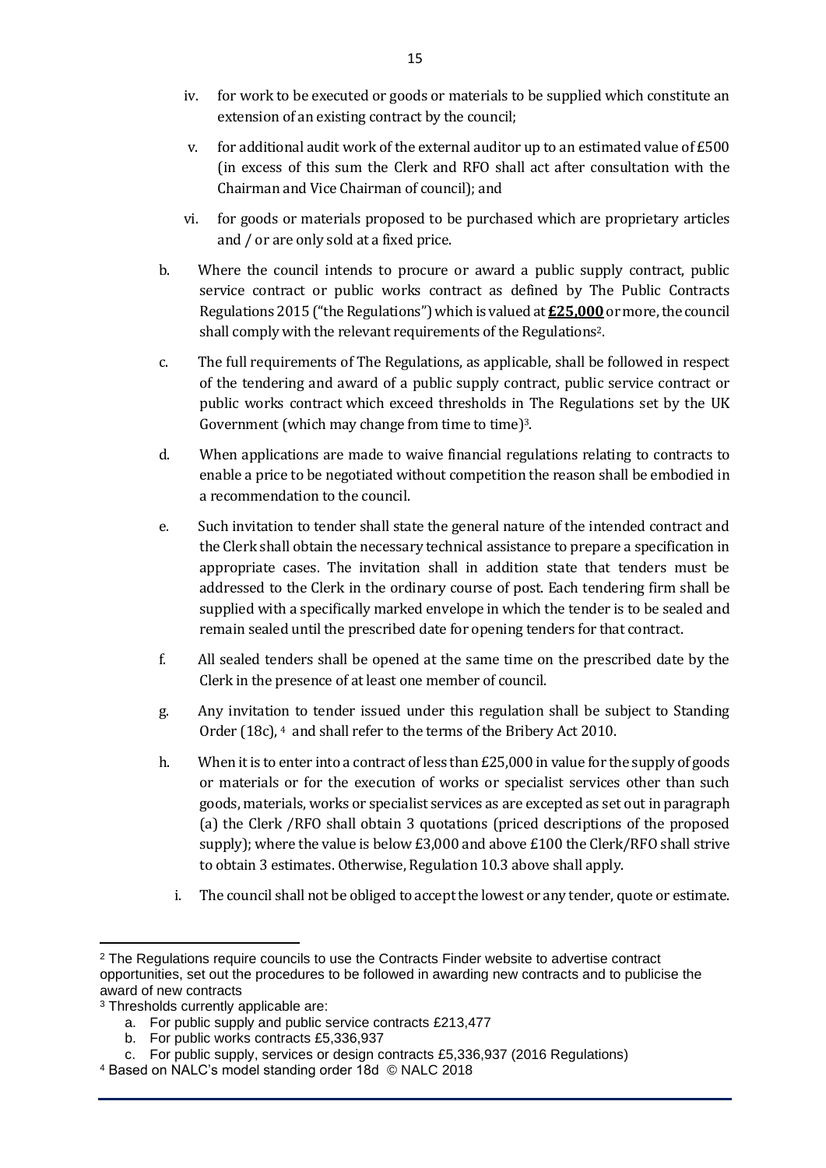- iv. for work to be executed or goods or materials to be supplied which constitute an extension of an existing contract by the council;
- v. for additional audit work of the external auditor up to an estimated value of £500 (in excess of this sum the Clerk and RFO shall act after consultation with the Chairman and Vice Chairman of council); and
- vi. for goods or materials proposed to be purchased which are proprietary articles and / or are only sold at a fixed price.
- b. Where the council intends to procure or award a public supply contract, public service contract or public works contract as defined by The Public Contracts Regulations 2015 ("the Regulations") which is valued at **£25,000**or more, the council shall comply with the relevant requirements of the Regulations2.
- c. The full requirements of The Regulations, as applicable, shall be followed in respect of the tendering and award of a public supply contract, public service contract or public works contract which exceed thresholds in The Regulations set by the UK Government (which may change from time to time)<sup>3</sup>.
- d. When applications are made to waive financial regulations relating to contracts to enable a price to be negotiated without competition the reason shall be embodied in a recommendation to the council.
- e. Such invitation to tender shall state the general nature of the intended contract and the Clerk shall obtain the necessary technical assistance to prepare a specification in appropriate cases. The invitation shall in addition state that tenders must be addressed to the Clerk in the ordinary course of post. Each tendering firm shall be supplied with a specifically marked envelope in which the tender is to be sealed and remain sealed until the prescribed date for opening tenders for that contract.
- f. All sealed tenders shall be opened at the same time on the prescribed date by the Clerk in the presence of at least one member of council.
- g. Any invitation to tender issued under this regulation shall be subject to Standing Order (18c), <sup>4</sup> and shall refer to the terms of the Bribery Act 2010.
- h. When it is to enter into a contract of less than  $E25,000$  in value for the supply of goods or materials or for the execution of works or specialist services other than such goods, materials, works or specialist services as are excepted as set out in paragraph (a) the Clerk /RFO shall obtain 3 quotations (priced descriptions of the proposed supply); where the value is below £3,000 and above £100 the Clerk/RFO shall strive to obtain 3 estimates. Otherwise, Regulation 10.3 above shall apply.
	- i. The council shall not be obliged to accept the lowest or any tender, quote or estimate.

b. For public works contracts £5,336,937

<sup>&</sup>lt;sup>2</sup> The Regulations require councils to use the Contracts Finder website to advertise contract opportunities, set out the procedures to be followed in awarding new contracts and to publicise the award of new contracts

<sup>3</sup> Thresholds currently applicable are:

a. For public supply and public service contracts £213,477

c. For public supply, services or design contracts £5,336,937 (2016 Regulations)

<sup>4</sup> Based on NALC's model standing order 18d © NALC 2018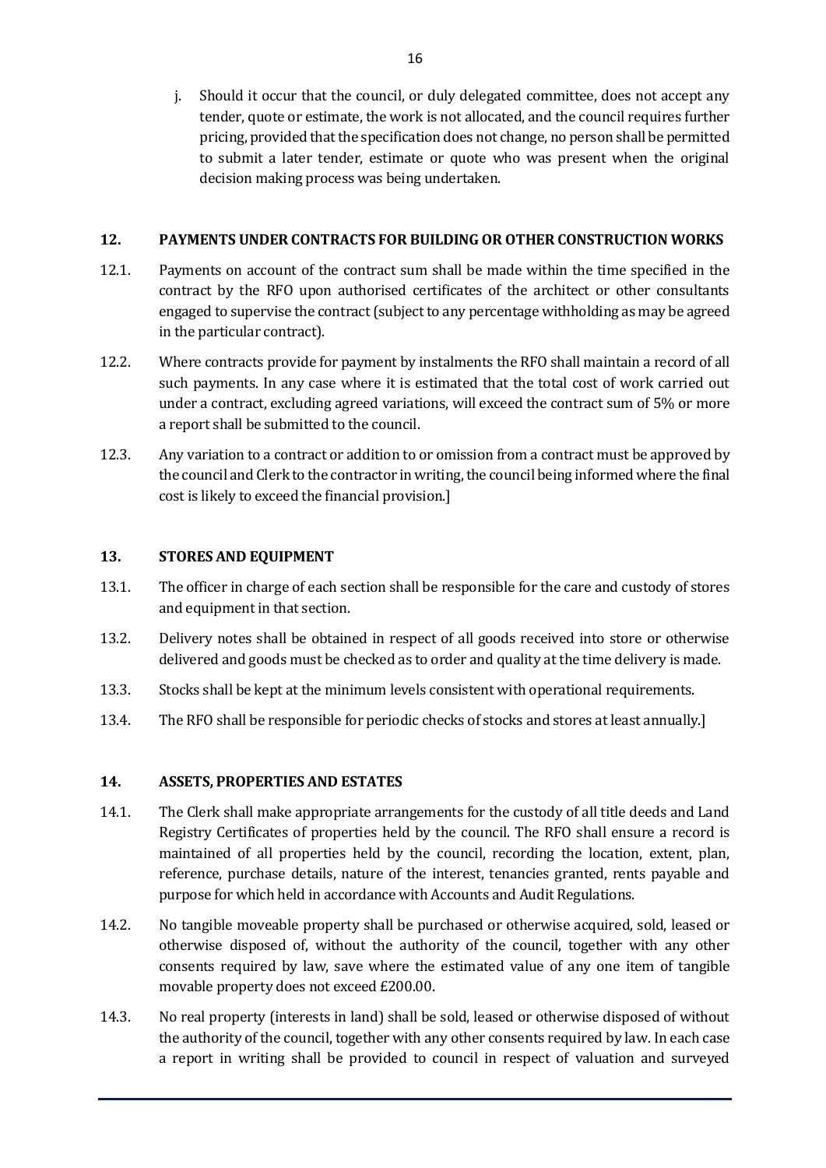j. Should it occur that the council, or duly delegated committee, does not accept any tender, quote or estimate, the work is not allocated, and the council requires further pricing, provided that the specification does not change, no person shall be permitted to submit a later tender, estimate or quote who was present when the original decision making process was being undertaken.

#### **12. PAYMENTS UNDER CONTRACTS FOR BUILDING OR OTHER CONSTRUCTION WORKS**

- 12.1. Payments on account of the contract sum shall be made within the time specified in the contract by the RFO upon authorised certificates of the architect or other consultants engaged to supervise the contract (subject to any percentage withholding as may be agreed in the particular contract).
- 12.2. Where contracts provide for payment by instalments the RFO shall maintain a record of all such payments. In any case where it is estimated that the total cost of work carried out under a contract, excluding agreed variations, will exceed the contract sum of 5% or more a report shall be submitted to the council.
- 12.3. Any variation to a contract or addition to or omission from a contract must be approved by the council and Clerk to the contractor in writing, the council being informed where the final cost is likely to exceed the financial provision.]

#### **13. STORES AND EQUIPMENT**

- 13.1. The officer in charge of each section shall be responsible for the care and custody of stores and equipment in that section.
- 13.2. Delivery notes shall be obtained in respect of all goods received into store or otherwise delivered and goods must be checked as to order and quality at the time delivery is made.
- 13.3. Stocks shall be kept at the minimum levels consistent with operational requirements.
- 13.4. The RFO shall be responsible for periodic checks of stocks and stores at least annually.]

#### **14. ASSETS, PROPERTIES AND ESTATES**

- 14.1. The Clerk shall make appropriate arrangements for the custody of all title deeds and Land Registry Certificates of properties held by the council. The RFO shall ensure a record is maintained of all properties held by the council, recording the location, extent, plan, reference, purchase details, nature of the interest, tenancies granted, rents payable and purpose for which held in accordance with Accounts and Audit Regulations.
- 14.2. No tangible moveable property shall be purchased or otherwise acquired, sold, leased or otherwise disposed of, without the authority of the council, together with any other consents required by law, save where the estimated value of any one item of tangible movable property does not exceed £200.00.
- 14.3. No real property (interests in land) shall be sold, leased or otherwise disposed of without the authority of the council, together with any other consents required by law. In each case a report in writing shall be provided to council in respect of valuation and surveyed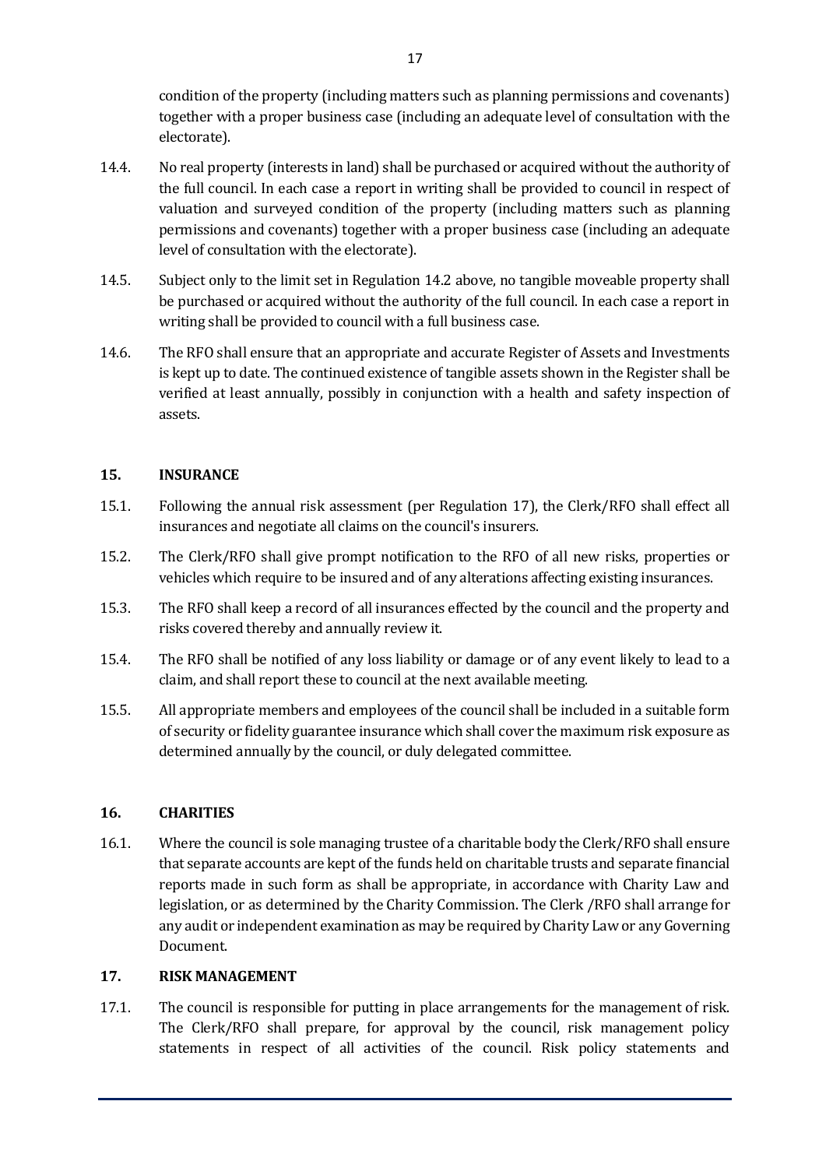condition of the property (including matters such as planning permissions and covenants) together with a proper business case (including an adequate level of consultation with the electorate).

- 14.4. No real property (interests in land) shall be purchased or acquired without the authority of the full council. In each case a report in writing shall be provided to council in respect of valuation and surveyed condition of the property (including matters such as planning permissions and covenants) together with a proper business case (including an adequate level of consultation with the electorate).
- 14.5. Subject only to the limit set in Regulation 14.2 above, no tangible moveable property shall be purchased or acquired without the authority of the full council. In each case a report in writing shall be provided to council with a full business case.
- 14.6. The RFO shall ensure that an appropriate and accurate Register of Assets and Investments is kept up to date. The continued existence of tangible assets shown in the Register shall be verified at least annually, possibly in conjunction with a health and safety inspection of assets.

# **15. INSURANCE**

- 15.1. Following the annual risk assessment (per Regulation 17), the Clerk/RFO shall effect all insurances and negotiate all claims on the council's insurers.
- 15.2. The Clerk/RFO shall give prompt notification to the RFO of all new risks, properties or vehicles which require to be insured and of any alterations affecting existing insurances.
- 15.3. The RFO shall keep a record of all insurances effected by the council and the property and risks covered thereby and annually review it.
- 15.4. The RFO shall be notified of any loss liability or damage or of any event likely to lead to a claim, and shall report these to council at the next available meeting.
- 15.5. All appropriate members and employees of the council shall be included in a suitable form of security or fidelity guarantee insurance which shall cover the maximum risk exposure as determined annually by the council, or duly delegated committee.

#### **16. CHARITIES**

16.1. Where the council is sole managing trustee of a charitable body the Clerk/RFO shall ensure that separate accounts are kept of the funds held on charitable trusts and separate financial reports made in such form as shall be appropriate, in accordance with Charity Law and legislation, or as determined by the Charity Commission. The Clerk /RFO shall arrange for any audit or independent examination as may be required by Charity Law or any Governing Document.

#### **17. RISK MANAGEMENT**

17.1. The council is responsible for putting in place arrangements for the management of risk. The Clerk/RFO shall prepare, for approval by the council, risk management policy statements in respect of all activities of the council. Risk policy statements and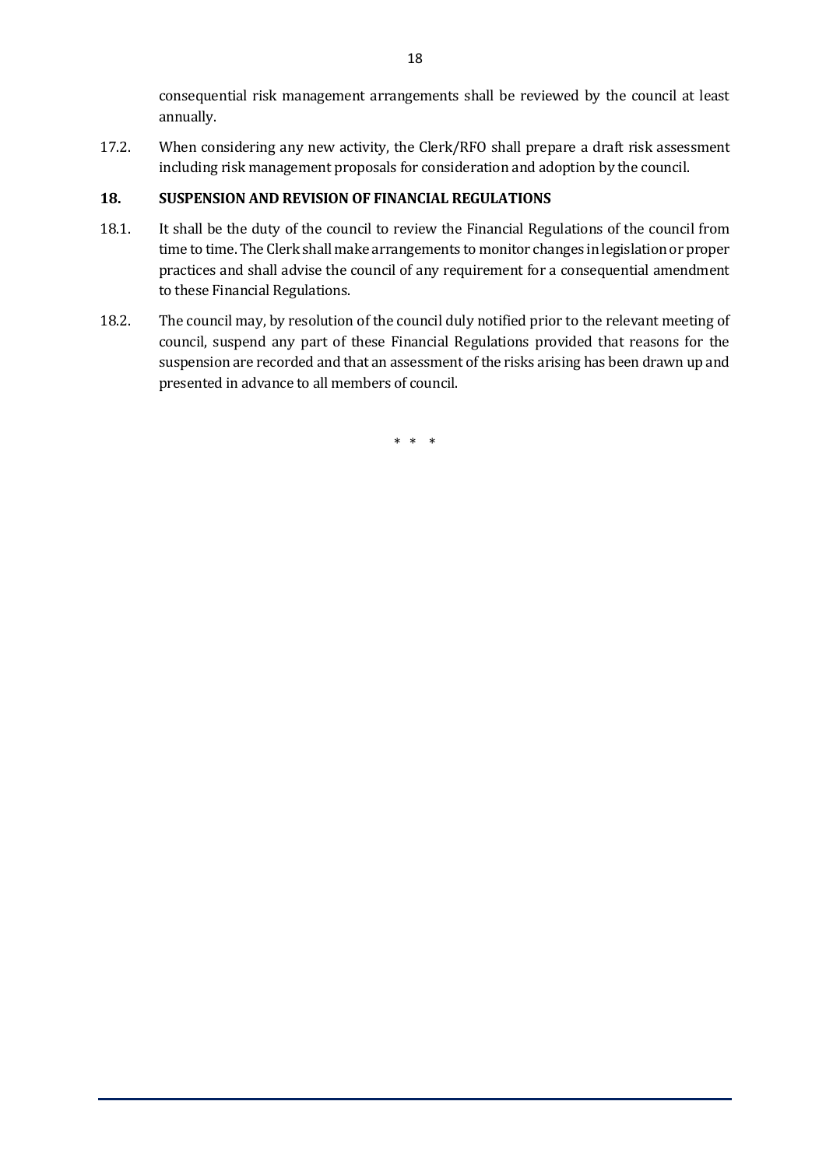consequential risk management arrangements shall be reviewed by the council at least annually.

17.2. When considering any new activity, the Clerk/RFO shall prepare a draft risk assessment including risk management proposals for consideration and adoption by the council.

# **18. SUSPENSION AND REVISION OF FINANCIAL REGULATIONS**

- 18.1. It shall be the duty of the council to review the Financial Regulations of the council from time to time. The Clerk shall make arrangements to monitor changes in legislation or proper practices and shall advise the council of any requirement for a consequential amendment to these Financial Regulations.
- 18.2. The council may, by resolution of the council duly notified prior to the relevant meeting of council, suspend any part of these Financial Regulations provided that reasons for the suspension are recorded and that an assessment of the risks arising has been drawn up and presented in advance to all members of council.

\* \* \*